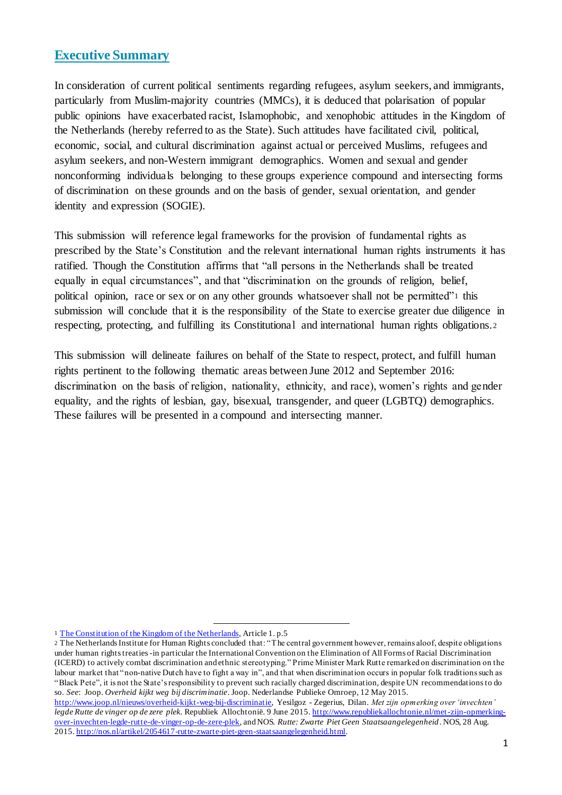### **Executive Summary**

In consideration of current political sentiments regarding refugees, asylum seekers, and immigrants, particularly from Muslim-majority countries (MMCs), it is deduced that polarisation of popular public opinions have exacerbated racist, Islamophobic, and xenophobic attitudes in the Kingdom of the Netherlands (hereby referred to as the State). Such attitudes have facilitated civil, political, economic, social, and cultural discrimination against actual or perceived Muslims, refugees and asylum seekers, and non-Western immigrant demographics. Women and sexual and gender nonconforming individuals belonging to these groups experience compound and intersecting forms of discrimination on these grounds and on the basis of gender, sexual orientation, and gender identity and expression (SOGIE).

This submission will reference legal frameworks for the provision of fundamental rights as prescribed by the State's Constitution and the relevant international human rights instruments it has ratified. Though the Constitution affirms that "all persons in the Netherlands shall be treated equally in equal circumstances", and that "discrimination on the grounds of religion, belief, political opinion, race or sex or on any other grounds whatsoever shall not be permitted"<sup>1</sup> this submission will conclude that it is the responsibility of the State to exercise greater due diligence in respecting, protecting, and fulfilling its Constitutional and international human rights obligations.<sup>2</sup>

This submission will delineate failures on behalf of the State to respect, protect, and fulfill human rights pertinent to the following thematic areas between June 2012 and September 2016: discrimination on the basis of religion, nationality, ethnicity, and race), women's rights and gender equality, and the rights of lesbian, gay, bisexual, transgender, and queer (LGBTQ) demographics. These failures will be presented in a compound and intersecting manner.

<sup>1</sup> The Constitution of the Kingdom of the Netherlands, Article 1. p.5

<sup>2</sup> The Netherlands Institute for Human Rights concluded that: "The central government however, remains aloof, despite obligations under human rights treaties -in particular the International Convention on the Elimination of All Forms of Racial Discrimination (ICERD) to actively combat discrimination and ethnic stereotyping." Prime Minister Mark Rutte remarked on discrimination on the labour market that "non-native Dutch have to fight a way in", and that when discrimination occurs in popular folk traditions such as "Black Pete", it is not the State's responsibility to prevent such racially charged discrimination, despite UN recommendations to do so. *See*: Joop. *Overheid kijkt weg bij discriminatie*. Joop. Nederlandse Publieke Omroep, 12 May 2015.

http://www.joop.nl/nieuws/overheid-kijkt-weg-bij-discriminatie, Yesilgoz - Zegerius, Dilan. *Met zijn opmerking over 'invechten' legde Rutte de vinger op de zere plek.* Republiek Allochtonië*.* 9 June 2015. http://www.republiekallochtonie.nl/met-zijn-opmerkingover-invechten-legde-rutte-de-vinger-op-de-zere-plek, and NOS. *Rutte: Zwarte Piet Geen Staatsaangelegenheid*. NOS, 28 Aug. 2015. http://nos.nl/artikel/2054617-rutte-zwarte-piet-geen-staatsaangelegenheid.html.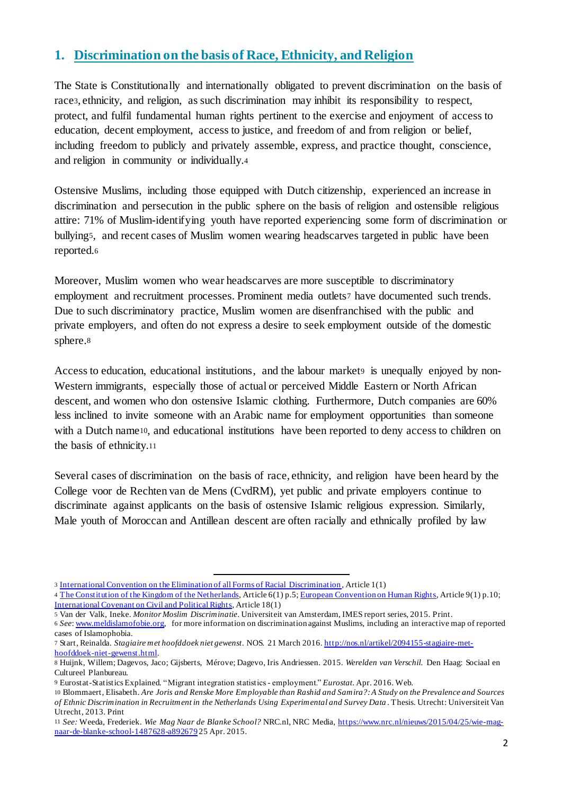## **1. Discrimination on the basis of Race, Ethnicity, and Religion**

The State is Constitutionally and internationally obligated to prevent discrimination on the basis of race3, ethnicity, and religion, as such discrimination may inhibit its responsibility to respect, protect, and fulfil fundamental human rights pertinent to the exercise and enjoyment of access to education, decent employment, access to justice, and freedom of and from religion or belief, including freedom to publicly and privately assemble, express, and practice thought, conscience, and religion in community or individually.<sup>4</sup>

Ostensive Muslims, including those equipped with Dutch citizenship, experienced an increase in discrimination and persecution in the public sphere on the basis of religion and ostensible religious attire: 71% of Muslim-identifying youth have reported experiencing some form of discrimination or bullying5, and recent cases of Muslim women wearing headscarves targeted in public have been reported.<sup>6</sup>

Moreover, Muslim women who wear headscarves are more susceptible to discriminatory employment and recruitment processes. Prominent media outlets7 have documented such trends. Due to such discriminatory practice, Muslim women are disenfranchised with the public and private employers, and often do not express a desire to seek employment outside of the domestic sphere.<sup>8</sup>

Access to education, educational institutions, and the labour market is unequally enjoyed by non-Western immigrants, especially those of actual or perceived Middle Eastern or North African descent, and women who don ostensive Islamic clothing. Furthermore, Dutch companies are 60% less inclined to invite someone with an Arabic name for employment opportunities than someone with a Dutch name<sup>10</sup>, and educational institutions have been reported to deny access to children on the basis of ethnicity.<sup>11</sup>

Several cases of discrimination on the basis of race, ethnicity, and religion have been heard by the College voor de Rechten van de Mens (CvdRM), yet public and private employers continue to discriminate against applicants on the basis of ostensive Islamic religious expression. Similarly, Male youth of Moroccan and Antillean descent are often racially and ethnically profiled by law

<sup>1</sup> 3 International Convention on the Elimination of all Forms of Racial Discrimination , Article 1(1)

<sup>4</sup> The Constitution of the Kingdom of the Netherlands, Article 6(1) p.5; European Convention on Human Rights, Article 9(1) p.10; International Covenant on Civil and Political Rights, Article 18(1)

<sup>5</sup> Van der Valk, Ineke. *Monitor Moslim Discriminatie*. Universiteit van Amsterdam, IMES report series, 2015. Print.

<sup>6</sup> *See*: www.meldislamofobie.org, for more information on discrimination against Muslims, including an interactive map of reported cases of Islamophobia.

<sup>7</sup> Start, Reinalda. *Stagiaire met hoofddoek niet gewenst*. NOS. 21 March 2016. http://nos.nl/artikel/2094155-stagiaire-methoofddoek-niet-gewenst.html.

<sup>8</sup> Huijnk, Willem; Dagevos, Jaco; Gijsberts, Mérove; Dagevo, Iris Andriessen. 2015. *Werelden van Verschil.* Den Haag: Sociaal en Cultureel Planbureau.

<sup>9</sup> Eurostat-Statistics Explained. "Migrant integration statistics - employment." *Eurostat*. Apr. 2016. Web.

<sup>10</sup> Blommaert, Elisabeth. *Are Joris and Renske More Employable than Rashid and Samira?: A Study on the Prevalence and Sources of Ethnic Discrimination in Recruitment in the Netherlands Using Experimental and Survey Data* . Thesis. Utrecht: Universiteit Van Utrecht, 2013. Print

<sup>11</sup> *See:* Weeda, Frederiek. *Wie Mag Naar de Blanke School?* NRC.nl, NRC Media, https://www.nrc.nl/nieuws/2015/04/25/wie-magnaar-de-blanke-school-1487628-a892679 25 Apr. 2015.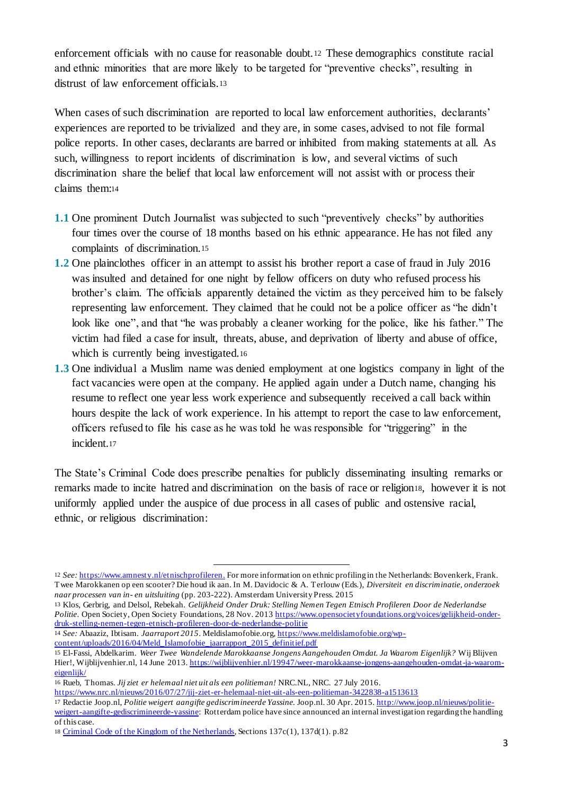enforcement officials with no cause for reasonable doubt.<sup>12</sup> These demographics constitute racial and ethnic minorities that are more likely to be targeted for "preventive checks", resulting in distrust of law enforcement officials.<sup>13</sup>

When cases of such discrimination are reported to local law enforcement authorities, declarants' experiences are reported to be trivialized and they are, in some cases, advised to not file formal police reports. In other cases, declarants are barred or inhibited from making statements at all. As such, willingness to report incidents of discrimination is low, and several victims of such discrimination share the belief that local law enforcement will not assist with or process their claims them:<sup>14</sup>

- **1.1** One prominent Dutch Journalist was subjected to such "preventively checks" by authorities four times over the course of 18 months based on his ethnic appearance. He has not filed any complaints of discrimination.<sup>15</sup>
- **1.2** One plainclothes officer in an attempt to assist his brother report a case of fraud in July 2016 was insulted and detained for one night by fellow officers on duty who refused process his brother's claim. The officials apparently detained the victim as they perceived him to be falsely representing law enforcement. They claimed that he could not be a police officer as "he didn't look like one", and that "he was probably a cleaner working for the police, like his father." The victim had filed a case for insult, threats, abuse, and deprivation of liberty and abuse of office, which is currently being investigated.<sup>16</sup>
- **1.3** One individual a Muslim name was denied employment at one logistics company in light of the fact vacancies were open at the company. He applied again under a Dutch name, changing his resume to reflect one year less work experience and subsequently received a call back within hours despite the lack of work experience. In his attempt to report the case to law enforcement, officers refused to file his case as he was told he was responsible for "triggering" in the incident.<sup>17</sup>

The State's Criminal Code does prescribe penalties for publicly disseminating insulting remarks or remarks made to incite hatred and discrimination on the basis of race or religion18, however it is not uniformly applied under the auspice of due process in all cases of public and ostensive racial, ethnic, or religious discrimination:

14 *See:* Abaaziz, Ibtisam. *Jaarraport 2015*. Meldislamofobie.org, https://www.meldislamofobie.org/wpcontent/uploads/2016/04/Meld\_Islamofobie\_jaarrapport\_2015\_definitief.pdf

<sup>12</sup> *See:* https://www.amnesty.nl/etnischprofileren. For more information on ethnic profiling in the Netherlands: Bovenkerk, Frank. Twee Marokkanen op een scooter? Die houd ik aan. In M. Davidocic & A. Terlouw (Eds.), *Diversiteit en discriminatie, onderzoek naar processen van in- en uitsluiting* (pp. 203-222). Amsterdam University Press. 2015

<sup>13</sup> Klos, Gerbrig, and Delsol, Rebekah. *Gelijkheid Onder Druk: Stelling Nemen Tegen Etnisch Profileren Door de Nederlandse Politie*. Open Society, Open Society Foundations, 28 Nov. 2013 https://www.opensocietyfoundations.org/voices/gelijkheid-onderdruk-stelling-nemen-tegen-etnisch-profileren-door-de-nederlandse-politie

<sup>15</sup> El-Fassi, Abdelkarim. *Weer Twee Wandelende Marokkaanse Jongens Aangehouden Omdat. Ja Waarom Eigenlijk?* Wij Blijven Hier!, Wijblijvenhier.nl, 14 June 2013. https://wijblijvenhier.nl/19947/weer-marokkaanse-jongens-aangehouden-omdat-ja-waaromeigenlijk/

<sup>16</sup> Rueb, Thomas. *Jij ziet er helemaal niet uit als een politieman!* NRC.NL, NRC. 27 July 2016.

https://www.nrc.nl/nieuws/2016/07/27/jij-ziet-er-helemaal-niet-uit-als-een-politieman-3422838-a1513613

<sup>17</sup> Redactie Joop.nl, *Politie weigert aangifte gediscrimineerde Yassine.* Joop.nl. 30 Apr. 2015. http://www.joop.nl/nieuws/politieweigert-aangifte-gediscrimineerde-yassine: Rotterdam police have since announced an internal investigation regarding the handling of this case.

<sup>18</sup> Criminal Code of the Kingdom of the Netherlands, Sections 137c(1), 137d(1). p.82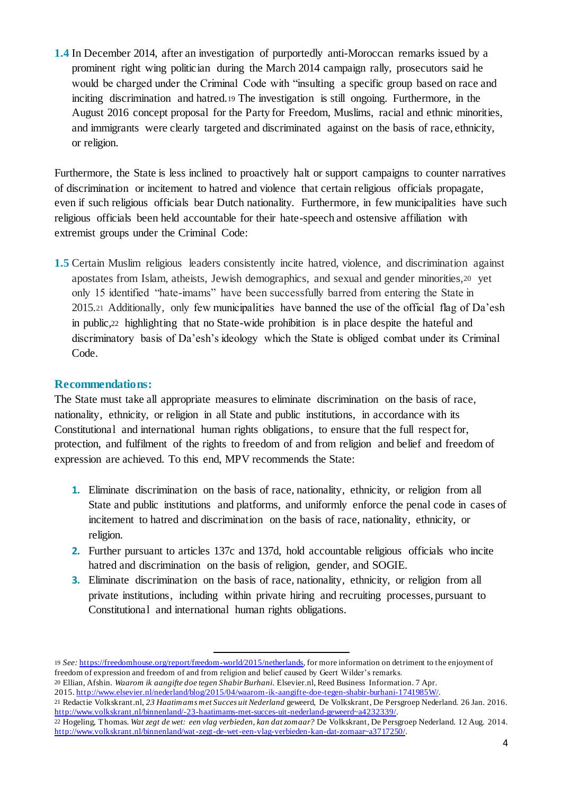**1.4** In December 2014, after an investigation of purportedly anti-Moroccan remarks issued by a prominent right wing politician during the March 2014 campaign rally, prosecutors said he would be charged under the Criminal Code with "insulting a specific group based on race and inciting discrimination and hatred.<sup>19</sup> The investigation is still ongoing. Furthermore, in the August 2016 concept proposal for the Party for Freedom, Muslims, racial and ethnic minorities, and immigrants were clearly targeted and discriminated against on the basis of race, ethnicity, or religion.

Furthermore, the State is less inclined to proactively halt or support campaigns to counter narratives of discrimination or incitement to hatred and violence that certain religious officials propagate, even if such religious officials bear Dutch nationality. Furthermore, in few municipalities have such religious officials been held accountable for their hate-speech and ostensive affiliation with extremist groups under the Criminal Code:

**1.5** Certain Muslim religious leaders consistently incite hatred, violence, and discrimination against apostates from Islam, atheists, Jewish demographics, and sexual and gender minorities,<sup>20</sup> yet only 15 identified "hate-imams" have been successfully barred from entering the State in 2015.<sup>21</sup> Additionally, only few municipalities have banned the use of the official flag of Da'esh in public,<sup>22</sup> highlighting that no State-wide prohibition is in place despite the hateful and discriminatory basis of Da'esh's ideology which the State is obliged combat under its Criminal Code.

### **Recommendations:**

The State must take all appropriate measures to eliminate discrimination on the basis of race, nationality, ethnicity, or religion in all State and public institutions, in accordance with its Constitutional and international human rights obligations, to ensure that the full respect for, protection, and fulfilment of the rights to freedom of and from religion and belief and freedom of expression are achieved. To this end, MPV recommends the State:

- **1.** Eliminate discrimination on the basis of race, nationality, ethnicity, or religion from all State and public institutions and platforms, and uniformly enforce the penal code in cases of incitement to hatred and discrimination on the basis of race, nationality, ethnicity, or religion.
- **2.** Further pursuant to articles 137c and 137d, hold accountable religious officials who incite hatred and discrimination on the basis of religion, gender, and SOGIE.
- **3.** Eliminate discrimination on the basis of race, nationality, ethnicity, or religion from all private institutions, including within private hiring and recruiting processes, pursuant to Constitutional and international human rights obligations.

<sup>1</sup> 19 *See:* https://freedomhouse.org/report/freedom-world/2015/netherlands, for more information on detriment to the enjoyment of freedom of expression and freedom of and from religion and belief caused by Geert Wilder's remarks.

<sup>20</sup> Ellian, Afshin. *Waarom ik aangifte doe tegen Shabir Burhani.* Elsevier.nl, Reed Business Information. 7 Apr. 2015. http://www.elsevier.nl/nederland/blog/2015/04/waarom-ik-aangifte-doe-tegen-shabir-burhani-1741985W/.

<sup>21</sup> Redactie Volkskrant.nl, *23 Haatimams met Succes uit Nederland* geweerd, De Volkskrant, De Persgroep Nederland. 26 Jan. 2016. http://www.volkskrant.nl/binnenland/-23-haatimams-met-succes-uit-nederland-geweerd~a4232339/.

<sup>22</sup> Hogeling, Thomas. *Wat zegt de wet: een vlag verbieden, kan dat zomaar?* De Volkskrant, De Persgroep Nederland*.* 12 Aug. 2014. http://www.volkskrant.nl/binnenland/wat-zegt-de-wet-een-vlag-verbieden-kan-dat-zomaar~a3717250/.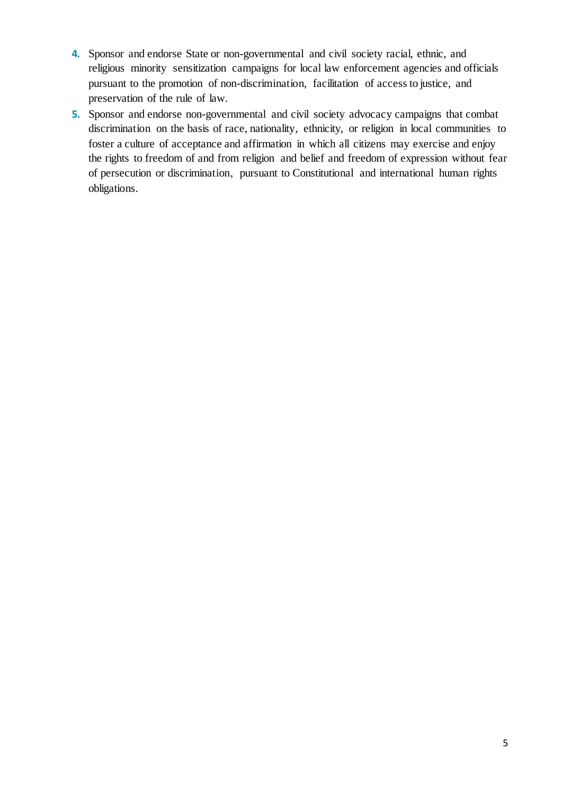- **4.** Sponsor and endorse State or non-governmental and civil society racial, ethnic, and religious minority sensitization campaigns for local law enforcement agencies and officials pursuant to the promotion of non-discrimination, facilitation of access to justice, and preservation of the rule of law.
- **5.** Sponsor and endorse non-governmental and civil society advocacy campaigns that combat discrimination on the basis of race, nationality, ethnicity, or religion in local communities to foster a culture of acceptance and affirmation in which all citizens may exercise and enjoy the rights to freedom of and from religion and belief and freedom of expression without fear of persecution or discrimination, pursuant to Constitutional and international human rights obligations.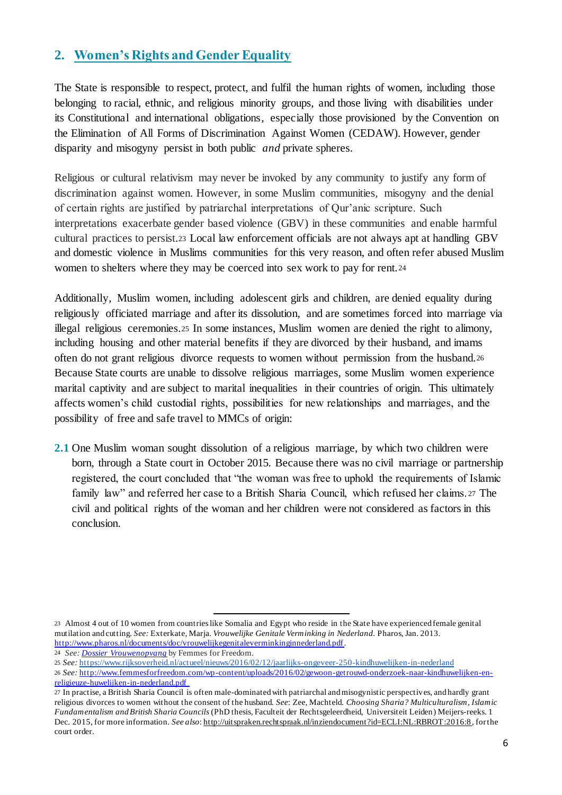# **2. Women's Rights and Gender Equality**

The State is responsible to respect, protect, and fulfil the human rights of women, including those belonging to racial, ethnic, and religious minority groups, and those living with disabilities under its Constitutional and international obligations, especially those provisioned by the Convention on the Elimination of All Forms of Discrimination Against Women (CEDAW). However, gender disparity and misogyny persist in both public *and* private spheres.

Religious or cultural relativism may never be invoked by any community to justify any form of discrimination against women. However, in some Muslim communities, misogyny and the denial of certain rights are justified by patriarchal interpretations of Qur'anic scripture. Such interpretations exacerbate gender based violence (GBV) in these communities and enable harmful cultural practices to persist.<sup>23</sup> Local law enforcement officials are not always apt at handling GBV and domestic violence in Muslims communities for this very reason, and often refer abused Muslim women to shelters where they may be coerced into sex work to pay for rent.<sup>24</sup>

Additionally, Muslim women, including adolescent girls and children, are denied equality during religiously officiated marriage and after its dissolution, and are sometimes forced into marriage via illegal religious ceremonies.<sup>25</sup> In some instances, Muslim women are denied the right to alimony, including housing and other material benefits if they are divorced by their husband, and imams often do not grant religious divorce requests to women without permission from the husband.<sup>26</sup> Because State courts are unable to dissolve religious marriages, some Muslim women experience marital captivity and are subject to marital inequalities in their countries of origin. This ultimately affects women's child custodial rights, possibilities for new relationships and marriages, and the possibility of free and safe travel to MMCs of origin:

**2.1** One Muslim woman sought dissolution of a religious marriage, by which two children were born, through a State court in October 2015. Because there was no civil marriage or partnership registered, the court concluded that "the woman was free to uphold the requirements of Islamic family law" and referred her case to a British Sharia Council, which refused her claims. <sup>27</sup> The civil and political rights of the woman and her children were not considered as factors in this conclusion.

24 *See: Dossier Vrouwenopvang* by Femmes for Freedom.

<sup>23</sup> Almost 4 out of 10 women from countries like Somalia and Egypt who reside in the State have experienced female genital mutilation and cutting. *See:* Exterkate, Marja. *Vrouwelijke Genitale Verminking in Nederland.* Pharos, Jan. 2013. http://www.pharos.nl/documents/doc/vrouwelijkegenitaleverminkinginnederland.pdf.

<sup>25</sup> *See:* https://www.rijksoverheid.nl/actueel/nieuws/2016/02/12/jaarlijks-ongeveer-250-kindhuwelijken-in-nederland

<sup>26</sup> *See:* http://www.femmesforfreedom.com/wp-content/uploads/2016/02/gewoon-getrouwd-onderzoek-naar-kindhuwelijken-enreligieuze-huwelijken-in-nederland.pdf

<sup>27</sup> In practise, a British Sharia Council is often male-dominated with patriarchal and misogynistic perspectives, and hardly grant religious divorces to women without the consent of the husband. *See*: Zee, Machteld. *Choosing Sharia? Multiculturalism, Islamic Fundamentalism and British Sharia Councils* (PhD thesis, Faculteit der Rechtsgeleerdheid, Universiteit Leiden) Meijers-reeks. 1 Dec. 2015, for more information. *See also*: http://uitspraken.rechtspraak.nl/inziendocument?id=ECLI:NL:RBROT:2016:8 , for the court order.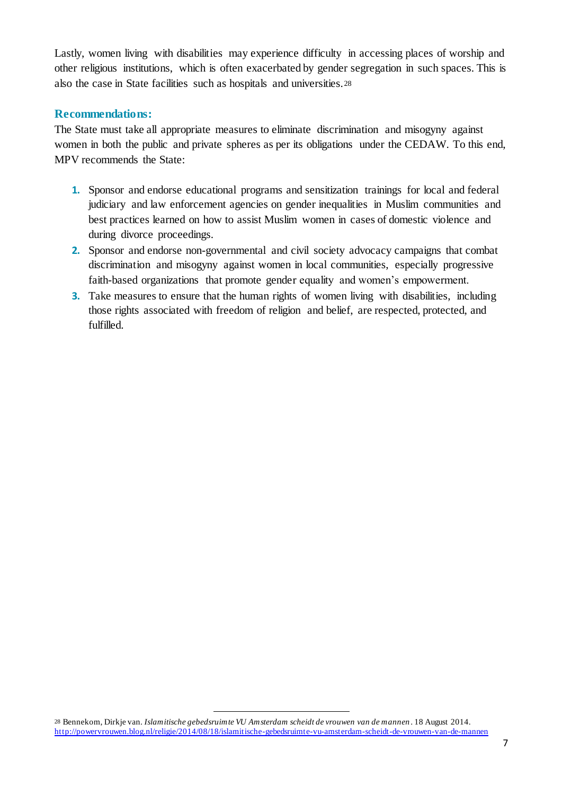Lastly, women living with disabilities may experience difficulty in accessing places of worship and other religious institutions, which is often exacerbated by gender segregation in such spaces. This is also the case in State facilities such as hospitals and universities.<sup>28</sup>

#### **Recommendations:**

The State must take all appropriate measures to eliminate discrimination and misogyny against women in both the public and private spheres as per its obligations under the CEDAW. To this end, MPV recommends the State:

- **1.** Sponsor and endorse educational programs and sensitization trainings for local and federal judiciary and law enforcement agencies on gender inequalities in Muslim communities and best practices learned on how to assist Muslim women in cases of domestic violence and during divorce proceedings.
- **2.** Sponsor and endorse non-governmental and civil society advocacy campaigns that combat discrimination and misogyny against women in local communities, especially progressive faith-based organizations that promote gender equality and women's empowerment.
- **3.** Take measures to ensure that the human rights of women living with disabilities, including those rights associated with freedom of religion and belief, are respected, protected, and fulfilled.

:

<sup>28</sup> Bennekom, Dirkje van. *Islamitische gebedsruimte VU Amsterdam scheidt de vrouwen van de mannen* . 18 August 2014. http://powervrouwen.blog.nl/religie/2014/08/18/islamitische-gebedsruimte-vu-amsterdam-scheidt-de-vrouwen-van-de-mannen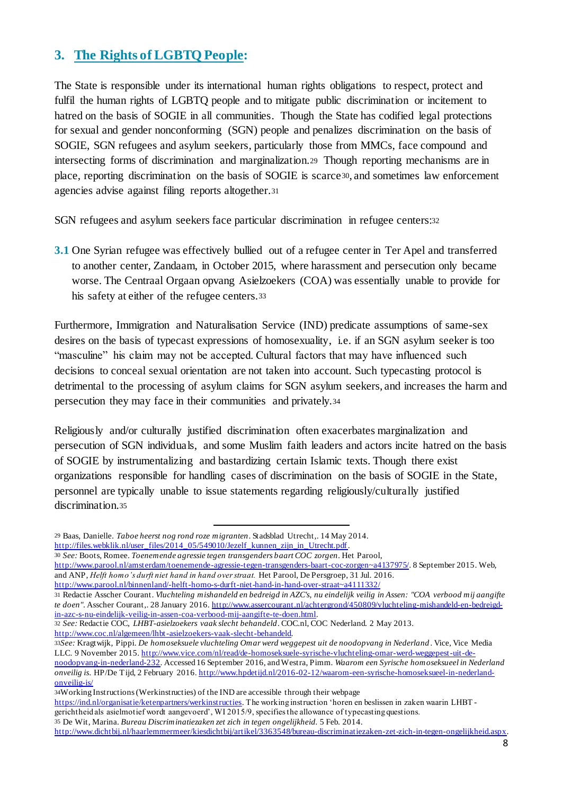## **3. The Rights of LGBTQ People:**

The State is responsible under its international human rights obligations to respect, protect and fulfil the human rights of LGBTQ people and to mitigate public discrimination or incitement to hatred on the basis of SOGIE in all communities. Though the State has codified legal protections for sexual and gender nonconforming (SGN) people and penalizes discrimination on the basis of SOGIE, SGN refugees and asylum seekers, particularly those from MMCs, face compound and intersecting forms of discrimination and marginalization.<sup>29</sup> Though reporting mechanisms are in place, reporting discrimination on the basis of SOGIE is scarce30, and sometimes law enforcement agencies advise against filing reports altogether.<sup>31</sup>

SGN refugees and asylum seekers face particular discrimination in refugee centers:<sup>32</sup>

**3.1** One Syrian refugee was effectively bullied out of a refugee center in Ter Apel and transferred to another center, Zandaam, in October 2015, where harassment and persecution only became worse. The Centraal Orgaan opvang Asielzoekers (COA) was essentially unable to provide for his safety at either of the refugee centers.<sup>33</sup>

Furthermore, Immigration and Naturalisation Service (IND) predicate assumptions of same-sex desires on the basis of typecast expressions of homosexuality, i.e. if an SGN asylum seeker is too "masculine" his claim may not be accepted. Cultural factors that may have influenced such decisions to conceal sexual orientation are not taken into account. Such typecasting protocol is detrimental to the processing of asylum claims for SGN asylum seekers, and increases the harm and persecution they may face in their communities and privately.<sup>34</sup>

Religiously and/or culturally justified discrimination often exacerbates marginalization and persecution of SGN individuals, and some Muslim faith leaders and actors incite hatred on the basis of SOGIE by instrumentalizing and bastardizing certain Islamic texts. Though there exist organizations responsible for handling cases of discrimination on the basis of SOGIE in the State, personnel are typically unable to issue statements regarding religiously/culturally justified discrimination.<sup>35</sup>

http://www.coc.nl/algemeen/lhbt-asielzoekers-vaak-slecht-behandeld.

```
34Working Instructions (Werkinstructies) of the IND are accessible through their webpage
```
https://ind.nl/organisatie/ketenpartners/werkinstructies. The working instruction 'horen en beslissen in zaken waarin LHBT gerichtheid als asielmotief wordt aangevoerd', WI 2015/9, specifies the allowance of typecasting questions.

35 De Wit, Marina. *Bureau Discriminatiezaken zet zich in tegen ongelijkheid.* 5 Feb. 2014.

http://www.dichtbij.nl/haarlemmermeer/kiesdichtbij/artikel/3363548/bureau-discriminatiezaken-zet-zich-in-tegen-ongelijkheid.aspx.

<sup>1</sup> 29 Baas, Danielle. *Taboe heerst nog rond roze migranten*. Stadsblad Utrecht,. 14 May 2014. http://files.webklik.nl/user\_files/2014\_05/549010/Jezelf\_kunnen\_zijn\_in\_Utrecht.pdf.

<sup>30</sup> *See:* Boots, Romee. *Toenemende agressie tegen transgenders baart COC zorgen*. Het Parool,

http://www.parool.nl/amsterdam/toenemende-agressie-tegen-transgenders-baart-coc-zorgen~a4137975/. 8 September 2015. Web, and ANP, *Helft homo's durft niet hand in hand over straat.* Het Parool, De Persgroep, 31 Jul. 2016.

http://www.parool.nl/binnenland/-helft-homo-s-durft-niet-hand-in-hand-over-straat~a4111332/

<sup>31</sup> Redactie Asscher Courant. *Vluchteling mishandeld en bedreigd in AZC's, nu eindelijk veilig in Assen: "COA verbood mij aangifte te doen"*. Asscher Courant,. 28 January 2016. http://www.assercourant.nl/achtergrond/450809/vluchteling-mishandeld-en-bedreigdin-azc-s-nu-eindelijk-veilig-in-assen-coa-verbood-mij-aangifte-te-doen.html.

<sup>32</sup> *See:* Redactie COC, *LHBT-asielzoekers vaak slecht behandeld*. COC.nl, COC Nederland. 2 May 2013.

<sup>33</sup>*See:* Kragtwijk, Pippi. *De homoseksuele vluchteling Omar werd weggepest uit de noodopvang in Nederland* . Vice, Vice Media LLC. 9 November 2015. http://www.vice.com/nl/read/de-homoseksuele-syrische-vluchteling-omar-werd-weggepest-uit-denoodopvang-in-nederland-232. Accessed 16 September 2016, and Westra, Pimm. *Waarom een Syrische homoseksueel in Nederland onveilig is*. HP/De Tijd, 2 February 2016. http://www.hpdetijd.nl/2016-02-12/waarom-een-syrische-homoseksueel-in-nederlandonveilig-is/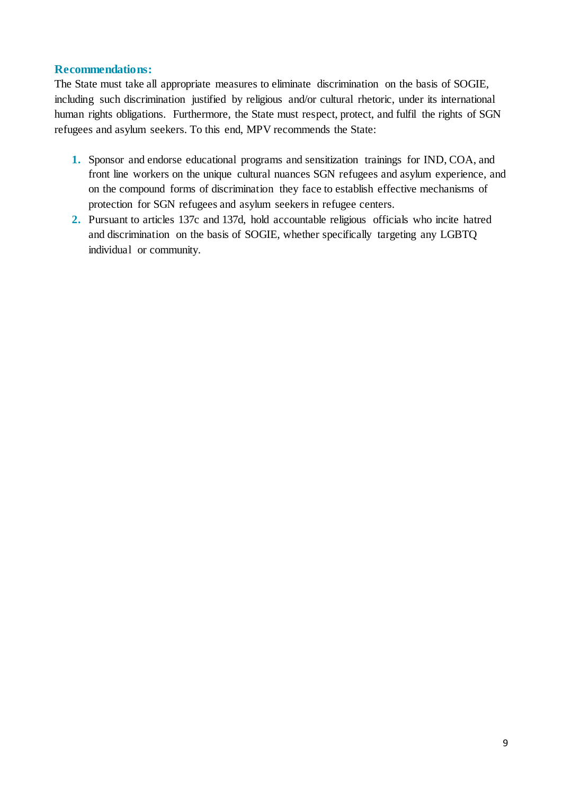#### **Recommendations:**

The State must take all appropriate measures to eliminate discrimination on the basis of SOGIE, including such discrimination justified by religious and/or cultural rhetoric, under its international human rights obligations. Furthermore, the State must respect, protect, and fulfil the rights of SGN refugees and asylum seekers. To this end, MPV recommends the State:

- **1.** Sponsor and endorse educational programs and sensitization trainings for IND, COA, and front line workers on the unique cultural nuances SGN refugees and asylum experience, and on the compound forms of discrimination they face to establish effective mechanisms of protection for SGN refugees and asylum seekers in refugee centers.
- **2.** Pursuant to articles 137c and 137d, hold accountable religious officials who incite hatred and discrimination on the basis of SOGIE, whether specifically targeting any LGBTQ individual or community.